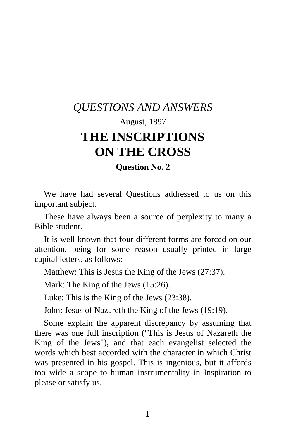## *QUESTIONS AND ANSWERS*  August, 1897 **THE INSCRIPTIONS ON THE CROSS**

**Question No. 2** 

We have had several Questions addressed to us on this important subject.

These have always been a source of perplexity to many a Bible student.

It is well known that four different forms are forced on our attention, being for some reason usually printed in large capital letters, as follows:—

Matthew: This is Jesus the King of the Jews (27:37).

Mark: The King of the Jews (15:26).

Luke: This is the King of the Jews (23:38).

John: Jesus of Nazareth the King of the Jews (19:19).

Some explain the apparent discrepancy by assuming that there was one full inscription ("This is Jesus of Nazareth the King of the Jews"), and that each evangelist selected the words which best accorded with the character in which Christ was presented in his gospel. This is ingenious, but it affords too wide a scope to human instrumentality in Inspiration to please or satisfy us.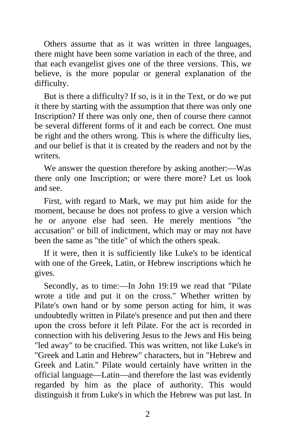Others assume that as it was written in three languages, there might have been some variation in each of the three, and that each evangelist gives one of the three versions. This, we believe, is the more popular or general explanation of the difficulty.

But is there a difficulty? If so, is it in the Text, or do we put it there by starting with the assumption that there was only one Inscription? If there was only one, then of course there cannot be several different forms of it and each be correct. One must be right and the others wrong. This is where the difficulty lies, and our belief is that it is created by the readers and not by the writers.

We answer the question therefore by asking another:—Was there only one Inscription; or were there more? Let us look and see.

First, with regard to Mark, we may put him aside for the moment, because he does not profess to give a version which he or anyone else had seen. He merely mentions "the accusation" or bill of indictment, which may or may not have been the same as "the title" of which the others speak.

If it were, then it is sufficiently like Luke's to be identical with one of the Greek, Latin, or Hebrew inscriptions which he gives.

Secondly, as to time:—In John 19:19 we read that "Pilate wrote a title and put it on the cross." Whether written by Pilate's own hand or by some person acting for him, it was undoubtedly written in Pilate's presence and put then and there upon the cross before it left Pilate. For the act is recorded in connection with his delivering Jesus to the Jews and His being "led away" to be crucified. This was written, not like Luke's in "Greek and Latin and Hebrew" characters, but in "Hebrew and Greek and Latin." Pilate would certainly have written in the official language—Latin—and therefore the last was evidently regarded by him as the place of authority. This would distinguish it from Luke's in which the Hebrew was put last. In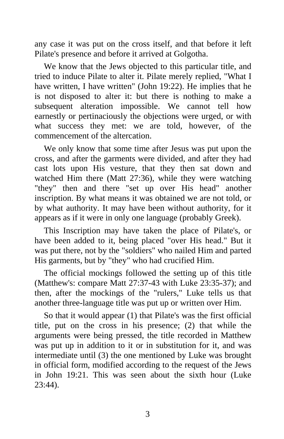any case it was put on the cross itself, and that before it left Pilate's presence and before it arrived at Golgotha.

We know that the Jews objected to this particular title, and tried to induce Pilate to alter it. Pilate merely replied, "What I have written, I have written" (John 19:22). He implies that he is not disposed to alter it: but there is nothing to make a subsequent alteration impossible. We cannot tell how earnestly or pertinaciously the objections were urged, or with what success they met: we are told, however, of the commencement of the altercation.

We only know that some time after Jesus was put upon the cross, and after the garments were divided, and after they had cast lots upon His vesture, that they then sat down and watched Him there (Matt 27:36), while they were watching "they" then and there "set up over His head" another inscription. By what means it was obtained we are not told, or by what authority. It may have been without authority, for it appears as if it were in only one language (probably Greek).

This Inscription may have taken the place of Pilate's, or have been added to it, being placed "over His head." But it was put there, not by the "soldiers" who nailed Him and parted His garments, but by "they" who had crucified Him.

The official mockings followed the setting up of this title (Matthew's: compare Matt 27:37-43 with Luke 23:35-37); and then, after the mockings of the "rulers," Luke tells us that another three-language title was put up or written over Him.

So that it would appear (1) that Pilate's was the first official title, put on the cross in his presence; (2) that while the arguments were being pressed, the title recorded in Matthew was put up in addition to it or in substitution for it, and was intermediate until (3) the one mentioned by Luke was brought in official form, modified according to the request of the Jews in John 19:21. This was seen about the sixth hour (Luke 23:44).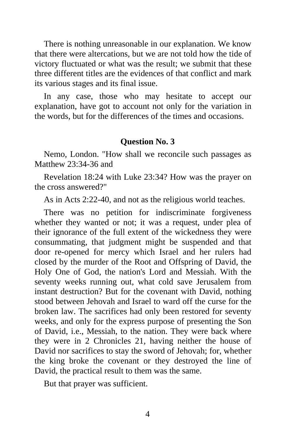There is nothing unreasonable in our explanation. We know that there were altercations, but we are not told how the tide of victory fluctuated or what was the result; we submit that these three different titles are the evidences of that conflict and mark its various stages and its final issue.

In any case, those who may hesitate to accept our explanation, have got to account not only for the variation in the words, but for the differences of the times and occasions.

## **Question No. 3**

Nemo, London. "How shall we reconcile such passages as Matthew 23:34-36 and

Revelation 18:24 with Luke 23:34? How was the prayer on the cross answered?"

As in Acts 2:22-40, and not as the religious world teaches.

There was no petition for indiscriminate forgiveness whether they wanted or not; it was a request, under plea of their ignorance of the full extent of the wickedness they were consummating, that judgment might be suspended and that door re-opened for mercy which Israel and her rulers had closed by the murder of the Root and Offspring of David, the Holy One of God, the nation's Lord and Messiah. With the seventy weeks running out, what cold save Jerusalem from instant destruction? But for the covenant with David, nothing stood between Jehovah and Israel to ward off the curse for the broken law. The sacrifices had only been restored for seventy weeks, and only for the express purpose of presenting the Son of David, i.e., Messiah, to the nation. They were back where they were in 2 Chronicles 21, having neither the house of David nor sacrifices to stay the sword of Jehovah; for, whether the king broke the covenant or they destroyed the line of David, the practical result to them was the same.

But that prayer was sufficient.